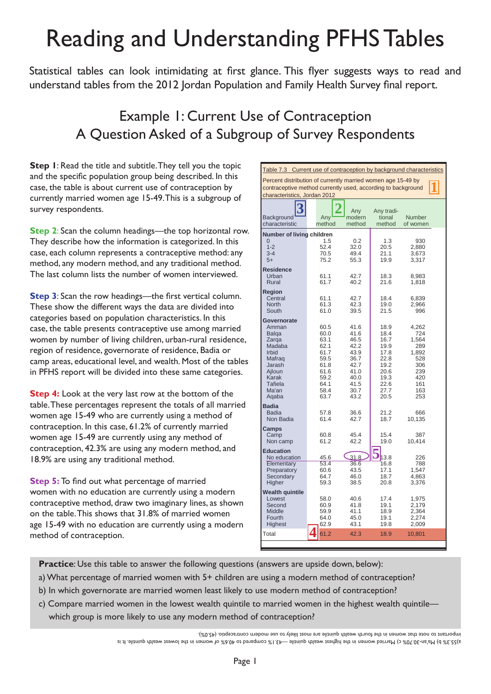# Reading and Understanding PFHS Tables

Statistical tables can look intimidating at first glance. This flyer suggests ways to read and understand tables from the 2012 Jordan Population and Family Health Survey final report.

# Example 1: Current Use of Contraception A Question Asked of a Subgroup of Survey Respondents

**Step 1**: Read the title and subtitle. They tell you the topic and the specific population group being described. In this case, the table is about current use of contraception by currently married women age 15-49. This is a subgroup of survey respondents.

**Step 2**: Scan the column headings—the top horizontal row. They describe how the information is categorized. In this case, each column represents a contraceptive method: any method, any modern method, and any traditional method. The last column lists the number of women interviewed.

**Step 3**: Scan the row headings—the first vertical column. These show the different ways the data are divided into categories based on population characteristics. In this case, the table presents contraceptive use among married women by number of living children, urban-rural residence, region of residence, governorate of residence, Badia or camp areas, educational level, and wealth. Most of the tables in PFHS report will be divided into these same categories.

**Step 4:** Look at the very last row at the bottom of the table. These percentages represent the totals of all married women age 15-49 who are currently using a method of contraception. In this case, 61.2% of currently married women age 15-49 are currently using any method of contraception, 42.3% are using any modern method, and 18.9% are using any traditional method.

**Step 5:** To find out what percentage of married women with no education are currently using a modern contraceptive method, draw two imaginary lines, as shown on the table. This shows that 31.8% of married women age 15-49 with no education are currently using a modern method of contraception.

| Percent distribution of currently married women age 15-49 by<br>contraceptive method currently used, according to background<br>characteristics, Jordan 2012<br>Any<br>Any tradi-<br>Background<br>Any<br>modern<br>tional<br>Number<br>method<br>characteristic<br>method<br>method<br>of women<br>Number of living children<br>1.5<br>0.2<br>1.3<br>930<br>$1 - 2$<br>32.0<br>52.4<br>20.5<br>2,880<br>$3 - 4$<br>70.5<br>49.4<br>21.1<br>3,673<br>$5+$<br>75.2<br>55.3<br>19.9<br>3,317<br><b>Residence</b><br>61.1<br>42.7<br>Urban<br>18.3<br>8.983<br>Rural<br>61.7<br>40.2<br>21.6<br>1,818<br><b>Region</b><br>61.1<br>42.7<br>18.4<br>Central<br>6,839<br><b>North</b><br>61.3<br>42.3<br>19.0<br>2,966<br>South<br>61.0<br>39.5<br>21.5<br>996<br>Governorate<br>60.5<br>41.6<br>18.9<br>4,262<br>Amman<br>41.6<br>18.4<br>724<br><b>Balga</b><br>60.0<br>63.1<br>46.5<br>1,564<br>Zarga<br>16.7<br>42.2<br>Madaba<br>62.1<br>19.9<br>289<br>43.9<br>Irbid<br>61.7<br>17.8<br>1,892<br>59.5<br>36.7<br>22.8<br>528<br>Mafrag<br>Jarash<br>61.8<br>42.7<br>19.2<br>306<br>61.6<br>41.0<br>239<br>Ajloun<br>20.6<br>Karak<br>420<br>59.2<br>40.0<br>19.3<br>Tafiela<br>64.1<br>41.5<br>22.6<br>161<br>Ma'an<br>163<br>58.4<br>30.7<br>27.7<br>63.7<br>43.2<br>20.5<br>253<br>Aqaba<br><b>Badia</b><br><b>Badia</b><br>57.8<br>36.6<br>21.2<br>666<br>42.7<br>Non Badia<br>61.4<br>18.7<br>10,135<br>Camps<br>45.4<br>15.4<br>Camp<br>60.8<br>387<br>61.2<br>42.2<br>19.0<br>10,414<br>Non camp<br><b>Education</b><br>31.8<br>No education<br>45.6<br>13.8<br>226<br>53.4<br>Elementary<br>36.6<br>788<br>16.8<br>43.5<br>17.1<br>1,547<br>Preparatory<br>60.6<br>64.7<br>46.0<br>18.7<br>4,863<br>Secondary<br>Higher<br>59.3<br>38.5<br>3,376<br>20.8<br><b>Wealth quintile</b><br>Lowest<br>40.6<br>17.4<br>1,975<br>58.0<br>41.8<br>Second<br>60.9<br>19.1<br>2,179<br>Middle<br>2,364<br>59.9<br>41.1<br>18.9<br>Fourth<br>64.0<br>45.0<br>19.1<br>2,274<br>Highest<br>62.9<br>43.1<br>19.8<br>2,009<br>61.2<br>42.3<br>18.9<br>Total<br>10,801 | Table 7.3 Current use of contraception by background characteristics |  |  |  |  |  |
|--------------------------------------------------------------------------------------------------------------------------------------------------------------------------------------------------------------------------------------------------------------------------------------------------------------------------------------------------------------------------------------------------------------------------------------------------------------------------------------------------------------------------------------------------------------------------------------------------------------------------------------------------------------------------------------------------------------------------------------------------------------------------------------------------------------------------------------------------------------------------------------------------------------------------------------------------------------------------------------------------------------------------------------------------------------------------------------------------------------------------------------------------------------------------------------------------------------------------------------------------------------------------------------------------------------------------------------------------------------------------------------------------------------------------------------------------------------------------------------------------------------------------------------------------------------------------------------------------------------------------------------------------------------------------------------------------------------------------------------------------------------------------------------------------------------------------------------------------------------------------------------------------------------------------------------------------------------------------------------------------------------------------------------------------------------|----------------------------------------------------------------------|--|--|--|--|--|
|                                                                                                                                                                                                                                                                                                                                                                                                                                                                                                                                                                                                                                                                                                                                                                                                                                                                                                                                                                                                                                                                                                                                                                                                                                                                                                                                                                                                                                                                                                                                                                                                                                                                                                                                                                                                                                                                                                                                                                                                                                                              |                                                                      |  |  |  |  |  |
|                                                                                                                                                                                                                                                                                                                                                                                                                                                                                                                                                                                                                                                                                                                                                                                                                                                                                                                                                                                                                                                                                                                                                                                                                                                                                                                                                                                                                                                                                                                                                                                                                                                                                                                                                                                                                                                                                                                                                                                                                                                              |                                                                      |  |  |  |  |  |
|                                                                                                                                                                                                                                                                                                                                                                                                                                                                                                                                                                                                                                                                                                                                                                                                                                                                                                                                                                                                                                                                                                                                                                                                                                                                                                                                                                                                                                                                                                                                                                                                                                                                                                                                                                                                                                                                                                                                                                                                                                                              |                                                                      |  |  |  |  |  |
|                                                                                                                                                                                                                                                                                                                                                                                                                                                                                                                                                                                                                                                                                                                                                                                                                                                                                                                                                                                                                                                                                                                                                                                                                                                                                                                                                                                                                                                                                                                                                                                                                                                                                                                                                                                                                                                                                                                                                                                                                                                              |                                                                      |  |  |  |  |  |
|                                                                                                                                                                                                                                                                                                                                                                                                                                                                                                                                                                                                                                                                                                                                                                                                                                                                                                                                                                                                                                                                                                                                                                                                                                                                                                                                                                                                                                                                                                                                                                                                                                                                                                                                                                                                                                                                                                                                                                                                                                                              |                                                                      |  |  |  |  |  |
|                                                                                                                                                                                                                                                                                                                                                                                                                                                                                                                                                                                                                                                                                                                                                                                                                                                                                                                                                                                                                                                                                                                                                                                                                                                                                                                                                                                                                                                                                                                                                                                                                                                                                                                                                                                                                                                                                                                                                                                                                                                              |                                                                      |  |  |  |  |  |
|                                                                                                                                                                                                                                                                                                                                                                                                                                                                                                                                                                                                                                                                                                                                                                                                                                                                                                                                                                                                                                                                                                                                                                                                                                                                                                                                                                                                                                                                                                                                                                                                                                                                                                                                                                                                                                                                                                                                                                                                                                                              |                                                                      |  |  |  |  |  |
|                                                                                                                                                                                                                                                                                                                                                                                                                                                                                                                                                                                                                                                                                                                                                                                                                                                                                                                                                                                                                                                                                                                                                                                                                                                                                                                                                                                                                                                                                                                                                                                                                                                                                                                                                                                                                                                                                                                                                                                                                                                              |                                                                      |  |  |  |  |  |
|                                                                                                                                                                                                                                                                                                                                                                                                                                                                                                                                                                                                                                                                                                                                                                                                                                                                                                                                                                                                                                                                                                                                                                                                                                                                                                                                                                                                                                                                                                                                                                                                                                                                                                                                                                                                                                                                                                                                                                                                                                                              |                                                                      |  |  |  |  |  |
|                                                                                                                                                                                                                                                                                                                                                                                                                                                                                                                                                                                                                                                                                                                                                                                                                                                                                                                                                                                                                                                                                                                                                                                                                                                                                                                                                                                                                                                                                                                                                                                                                                                                                                                                                                                                                                                                                                                                                                                                                                                              |                                                                      |  |  |  |  |  |
|                                                                                                                                                                                                                                                                                                                                                                                                                                                                                                                                                                                                                                                                                                                                                                                                                                                                                                                                                                                                                                                                                                                                                                                                                                                                                                                                                                                                                                                                                                                                                                                                                                                                                                                                                                                                                                                                                                                                                                                                                                                              |                                                                      |  |  |  |  |  |

 **Practice**: Use this table to answer the following questions (answers are upside down, below):

- a) What percentage of married women with 5+ children are using a modern method of contraception?
- b) In which governorate are married women least likely to use modern method of contraception?
- c) Compare married women in the lowest wealth quintile to married women in the highest wealth quintile which group is more likely to use any modern method of contraception?

a)55.3% b) Ma'an-30.70% c) Married women in the highest wealth quintile —43.1% compared to 40.6% of women in the lowest wealth quintile. It is important to note that women in the fourth wealth quintile are most likely to use modern contraceptio. (45.0%).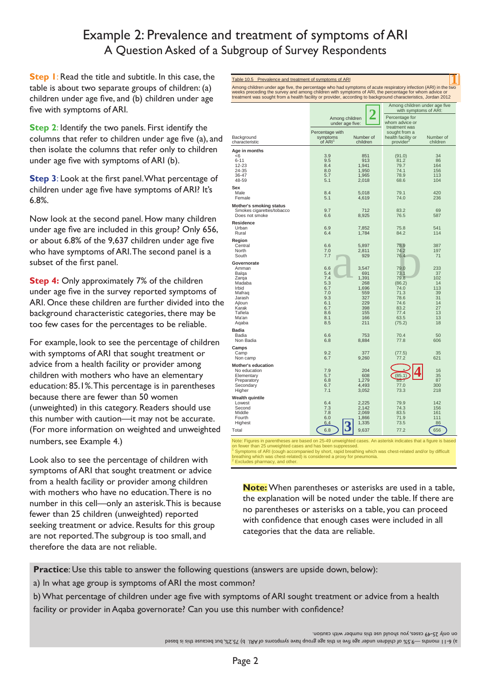### Example 2: Prevalence and treatment of symptoms of ARI A Question Asked of a Subgroup of Survey Respondents

**Step 1**: Read the title and subtitle. In this case, the table is about two separate groups of children: (a) children under age five, and (b) children under age five with symptoms of ARI.

**Step 2**: Identify the two panels. First identify the columns that refer to children under age five (a), and then isolate the columns that refer only to children under age five with symptoms of ARI (b).

**Step 3**: Look at the first panel. What percentage of children under age five have symptoms of ARI? It's 6.8%.

Now look at the second panel. How many children under age five are included in this group? Only 656, or about 6.8% of the 9,637 children under age five who have symptoms of ARI. The second panel is a subset of the first panel.

**Step 4:** Only approximately 7% of the children under age five in the survey reported symptoms of ARI. Once these children are further divided into the background characteristic categories, there may be too few cases for the percentages to be reliable.

For example, look to see the percentage of children with symptoms of ARI that sought treatment or advice from a health facility or provider among children with mothers who have an elementary education: 85.1%. This percentage is in parentheses because there are fewer than 50 women (unweighted) in this category. Readers should use this number with caution—it may not be accurate. (For more information on weighted and unweighted numbers, see Example 4.)

Look also to see the percentage of children with symptoms of ARI that sought treatment or advice from a health facility or provider among children with mothers who have no education. There is no number in this cell—only an asterisk. This is because fewer than 25 children (unweighted) reported seeking treatment or advice. Results for this group are not reported. The subgroup is too small, and therefore the data are not reliable.

| Table 10.5 Prevalence and treatment of symptoms of ARI                                                                                                                                                                                                                                                                                   |                                                                                  |                                                                                        |                                                                                                  |                                                                         |
|------------------------------------------------------------------------------------------------------------------------------------------------------------------------------------------------------------------------------------------------------------------------------------------------------------------------------------------|----------------------------------------------------------------------------------|----------------------------------------------------------------------------------------|--------------------------------------------------------------------------------------------------|-------------------------------------------------------------------------|
| Among children under age five, the percentage who had symptoms of acute respiratory infection (ARI) in the two<br>weeks preceding the survey and among children with symptoms of ARI, the percentage for whom advice or<br>treatment was sought from a health facility or provider, according to background characteristics, Jordan 2012 |                                                                                  |                                                                                        |                                                                                                  |                                                                         |
|                                                                                                                                                                                                                                                                                                                                          |                                                                                  |                                                                                        |                                                                                                  | Among children under age five<br>with symptoms of ARI:                  |
|                                                                                                                                                                                                                                                                                                                                          |                                                                                  | Among children<br>under age five:                                                      |                                                                                                  |                                                                         |
| Background<br>characteristic                                                                                                                                                                                                                                                                                                             | Percentage with<br>symptoms<br>of ARI <sup>1</sup>                               | Number of<br>children                                                                  | treatment was<br>sought from a<br>health facility or<br>provider <sup>2</sup>                    | Number of<br>children                                                   |
| Age in months                                                                                                                                                                                                                                                                                                                            |                                                                                  |                                                                                        |                                                                                                  |                                                                         |
| <6<br>$6 - 11$<br>12-23<br>24-35<br>36-47<br>48-59                                                                                                                                                                                                                                                                                       | 3.9<br>9.5<br>8.4<br>8.0<br>5.7<br>5.1                                           | 851<br>913<br>1,941<br>1,950<br>1,965<br>2,018                                         | (91.0)<br>81.2<br>79.7<br>74.1<br>78.9<br>68.6                                                   | 34<br>86<br>164<br>156<br>113<br>104                                    |
| Sex<br>Male<br>Female                                                                                                                                                                                                                                                                                                                    | 8.4<br>5.1                                                                       | 5,018<br>4,619                                                                         | 79.1<br>74.0                                                                                     | 420<br>236                                                              |
| Mother's smoking status<br>Smokes cigarettes/tobacco<br>Does not smoke                                                                                                                                                                                                                                                                   | 9.7<br>6.6                                                                       | 712<br>8,925                                                                           | 83.2<br>76.5                                                                                     | 69<br>587                                                               |
| <b>Residence</b><br>Urban<br>Rural                                                                                                                                                                                                                                                                                                       | 6.9<br>6.4                                                                       | 7,852<br>1,784                                                                         | 75.8<br>84.2                                                                                     | 541<br>114                                                              |
| Region<br>Central<br>North<br>South                                                                                                                                                                                                                                                                                                      | 6.6<br>7.0<br>7.7                                                                | 5,897<br>2,811<br>929                                                                  | 78.9<br>74.2<br>76.4                                                                             | 387<br>197<br>71                                                        |
| Governorate<br>Amman<br>Balqa<br>Zarqa<br>Madaba<br>Irbid<br>Mafrag<br>Jarash<br>Ajloun<br>Karak<br>Tafiela<br>Ma'an<br>Aqaba                                                                                                                                                                                                            | 6.6<br>5.4<br>7.4<br>5.3<br>6.7<br>7.0<br>9.3<br>6.1<br>6.7<br>8.6<br>8.1<br>8.5 | 3,547<br>691<br>1,391<br>268<br>1,696<br>559<br>327<br>229<br>398<br>155<br>166<br>211 | 79.0<br>73.1<br>79.8<br>(86.2)<br>74.0<br>71.3<br>78.6<br>74.6<br>83.2<br>77.4<br>63.5<br>(75.2) | 233<br>37<br>102<br>14<br>113<br>39<br>31<br>14<br>27<br>13<br>13<br>18 |
| Badia<br>Badia<br>Non Badia                                                                                                                                                                                                                                                                                                              | 6.6<br>6.8                                                                       | 753<br>8,884                                                                           | 70.4<br>77.8                                                                                     | 50<br>606                                                               |
| Camps<br>Camp<br>Non camp                                                                                                                                                                                                                                                                                                                | 9.2<br>6.7                                                                       | 377<br>9,260                                                                           | (77.5)<br>77.2                                                                                   | 35<br>621                                                               |
| Mother's education<br>No education<br>Elementary<br>Preparatory<br>Secondary<br>Higher                                                                                                                                                                                                                                                   | 7.9<br>5.7<br>6.8<br>6.7<br>7.1                                                  | 204<br>608<br>1,279<br>4,493<br>3,052                                                  | (85.1)<br>85.7<br>77.0<br>73.3                                                                   | 16<br>35<br>87<br>300<br>218                                            |
| <b>Wealth quintile</b><br>Lowest<br>Second<br>Middle<br>Fourth<br>Highest                                                                                                                                                                                                                                                                | 6.4<br>7.3<br>7.8<br>6.0<br>6.4                                                  | 2,225<br>2,142<br>2,069<br>1,866<br>1,335                                              | 79.9<br>74.3<br>83.5<br>71.9<br>73.5                                                             | 142<br>156<br>161<br>111<br>86                                          |
| Total                                                                                                                                                                                                                                                                                                                                    | 6.8                                                                              | 9,637                                                                                  | 77.2                                                                                             | 656                                                                     |

Note: Figures in parentheses are based on 25-49 unweighted cases. An asterisk indicates that a figure is based<br>on fewer than 25 unweighted cases and has been suppressed.<br><sup>1</sup> Symptoms of ARI (cough accompanied by short, rap

**Note:** When parentheses or asterisks are used in a table, the explanation will be noted under the table. If there are no parentheses or asterisks on a table, you can proceed with confidence that enough cases were included in all categories that the data are reliable.

**Practice**: Use this table to answer the following questions (answers are upside down, below):

a) In what age group is symptoms of ARI the most common?

b) What percentage of children under age five with symptoms of ARI sought treatment or advice from a health facility or provider in Aqaba governorate? Can you use this number with confidence?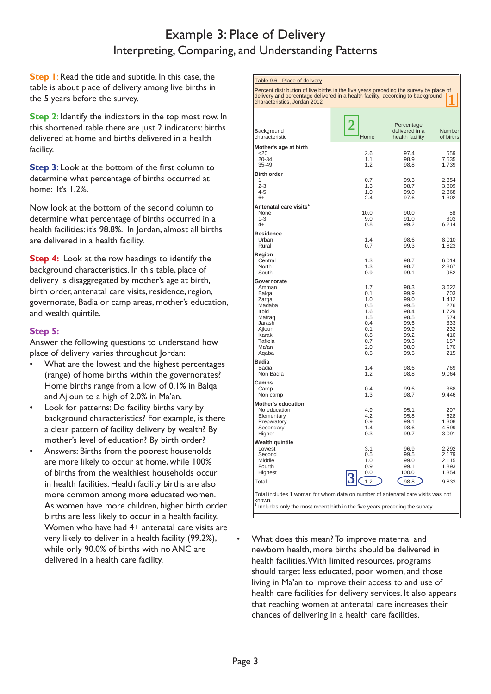#### Example 3: Place of Delivery Interpreting, Comparing, and Understanding Patterns

**Step 1**: Read the title and subtitle. In this case, the table is about place of delivery among live births in the 5 years before the survey.

**Step 2**: Identify the indicators in the top most row. In this shortened table there are just 2 indicators: births delivered at home and births delivered in a health facility.

**Step 3:** Look at the bottom of the first column to determine what percentage of births occurred at home: It's 1.2%.

Now look at the bottom of the second column to determine what percentage of births occurred in a health facilities: it's 98.8%. In Jordan, almost all births are delivered in a health facility.

**Step 4:** Look at the row headings to identify the background characteristics. In this table, place of delivery is disaggregated by mother's age at birth, birth order, antenatal care visits, residence, region, governorate, Badia or camp areas, mother's education, and wealth quintile.

#### **Step 5:**

Answer the following questions to understand how place of delivery varies throughout Jordan:

- What are the lowest and the highest percentages (range) of home births within the governorates? Home births range from a low of 0.1% in Balqa and Ajloun to a high of 2.0% in Ma'an.
- Look for patterns: Do facility births vary by background characteristics? For example, is there a clear pattern of facility delivery by wealth? By mother's level of education? By birth order?
- Answers: Births from the poorest households are more likely to occur at home, while 100% of births from the wealthiest households occur in health facilities. Health facility births are also more common among more educated women. As women have more children, higher birth order births are less likely to occur in a health facility. Women who have had 4+ antenatal care visits are very likely to deliver in a health facility (99.2%), while only 90.0% of births with no ANC are delivered in a health care facility.

| Table 9.6 Place of delivery                                                                                                                                                                               |             |                                                 |                     |  |  |
|-----------------------------------------------------------------------------------------------------------------------------------------------------------------------------------------------------------|-------------|-------------------------------------------------|---------------------|--|--|
| Percent distribution of live births in the five years preceding the survey by place of<br>delivery and percentage delivered in a health facility, according to background<br>characteristics, Jordan 2012 |             |                                                 |                     |  |  |
|                                                                                                                                                                                                           |             |                                                 |                     |  |  |
| Background<br>characteristic                                                                                                                                                                              | Ζ<br>Home   | Percentage<br>delivered in a<br>health facility | Number<br>of births |  |  |
| Mother's age at birth<br>$<$ 20                                                                                                                                                                           | 2.6         | 97.4                                            | 559                 |  |  |
| 20-34<br>35-49                                                                                                                                                                                            | 1.1<br>1.2  | 98.9<br>98.8                                    | 7,535<br>1,739      |  |  |
| <b>Birth order</b><br>1                                                                                                                                                                                   | 0.7         | 99.3                                            | 2,354               |  |  |
| $2 - 3$<br>$4 - 5$                                                                                                                                                                                        | 1.3<br>1.0  | 98.7<br>99.0                                    | 3,809<br>2,368      |  |  |
| 6+                                                                                                                                                                                                        | 2.4         | 97.6                                            | 1,302               |  |  |
| Antenatal care visits <sup>1</sup><br>None                                                                                                                                                                |             |                                                 |                     |  |  |
| $1 - 3$                                                                                                                                                                                                   | 10.0<br>9.0 | 90.0<br>91.0                                    | 58<br>303           |  |  |
| $4+$                                                                                                                                                                                                      | 0.8         | 99.2                                            | 6,214               |  |  |
| Residence<br>Urban                                                                                                                                                                                        | 1.4         | 98.6                                            | 8,010               |  |  |
| Rural                                                                                                                                                                                                     | 0.7         | 99.3                                            | 1,823               |  |  |
| Region<br>Central                                                                                                                                                                                         | 1.3         | 98.7                                            | 6,014               |  |  |
| North<br>South                                                                                                                                                                                            | 1.3<br>0.9  | 98.7<br>99.1                                    | 2,867<br>952        |  |  |
| Governorate                                                                                                                                                                                               |             |                                                 |                     |  |  |
| Amman                                                                                                                                                                                                     | 1.7<br>0.1  | 98.3                                            | 3,622               |  |  |
| Balqa<br>Zarga                                                                                                                                                                                            | 1.0         | 99.9<br>99.0                                    | 703<br>1,412        |  |  |
| Madaba<br>Irbid                                                                                                                                                                                           | 0.5<br>1.6  | 99.5<br>98.4                                    | 276<br>1,729        |  |  |
| Mafraq                                                                                                                                                                                                    | 1.5         | 98.5                                            | 574                 |  |  |
| Jarash<br>Ajloun                                                                                                                                                                                          | 0.4<br>0.1  | 99.6<br>99.9                                    | 333<br>232          |  |  |
| Karak<br>Tafiela                                                                                                                                                                                          | 0.8<br>0.7  | 99.2<br>99.3                                    | 410<br>157          |  |  |
| Ma'an                                                                                                                                                                                                     | 2.0         | 98.0                                            | 170                 |  |  |
| Aqaba                                                                                                                                                                                                     | 0.5         | 99.5                                            | 215                 |  |  |
| Badia<br>Badia                                                                                                                                                                                            | 1.4         | 98.6                                            | 769                 |  |  |
| Non Badia                                                                                                                                                                                                 | 1.2         | 98.8                                            | 9,064               |  |  |
| Camps<br>Camp                                                                                                                                                                                             | 0.4         | 99.6                                            | 388                 |  |  |
| Non camp                                                                                                                                                                                                  | 1.3         | 98.7                                            | 9,446               |  |  |
| <b>Mother's education</b><br>No education                                                                                                                                                                 | 4.9         | 95.1                                            | 207                 |  |  |
| Elementary                                                                                                                                                                                                | 4.2         | 95.8                                            | 628                 |  |  |
| Preparatory<br>Secondary                                                                                                                                                                                  | 0.9<br>1.4  | 99.1<br>98.6                                    | 1,308<br>4,599      |  |  |
| Higher                                                                                                                                                                                                    | 0.3         | 99.7                                            | 3,091               |  |  |
| Wealth quintile<br>Lowest                                                                                                                                                                                 | 3.1         | 96.9                                            | 2,292               |  |  |
| Second<br>Middle                                                                                                                                                                                          | 0.5<br>1.0  | 99.5<br>99.0                                    | 2,179<br>2,115      |  |  |
| Fourth                                                                                                                                                                                                    | 0.9         | 99.1                                            | 1,893               |  |  |
| Highest                                                                                                                                                                                                   | 0.0         | 100.0                                           | 1,354               |  |  |
| Total                                                                                                                                                                                                     | 1.2         | 98.8                                            | 9,833               |  |  |
| Total includes 1 woman for whom data on number of antenatal care visits was not                                                                                                                           |             |                                                 |                     |  |  |
| known.<br>Includes only the most recent birth in the five years preceding the survey.                                                                                                                     |             |                                                 |                     |  |  |
|                                                                                                                                                                                                           |             |                                                 |                     |  |  |

• What does this mean? To improve maternal and newborn health, more births should be delivered in health facilities. With limited resources, programs should target less educated, poor women, and those living in Ma'an to improve their access to and use of health care facilities for delivery services. It also appears that reaching women at antenatal care increases their chances of delivering in a health care facilities.